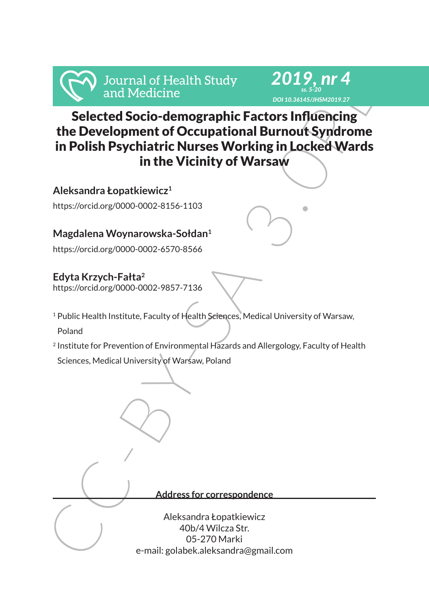

# From Medicine<br>
Selected Socio-demographic Factors Influence<br>
Selected Socio-demographic Factors Influence<br>
the Development of Occupational Burnout Syndrome<br>
in Polish Psychiatric Nurses Working in Locked Wards<br>
in the Vici Selected Socio-demographic Factors Influencing the Development of Occupational Burnout Syndrome in Polish Psychiatric Nurses Working in Locked Wards in the Vicinity of Warsaw

*2019, nr 4 ss. 5-20 DOI 10.36145/JHSM2019.27*

**Aleksandra Łopatkiewicz<sup>1</sup>**

https://orcid.org/0000-0002-8156-1103

# **Magdalena Woynarowska-Sołdan<sup>1</sup>**

https://orcid.org/0000-0002-6570-8566

## **Edyta Krzych-Fałta<sup>2</sup>**

https://orcid.org/0000-0002-9857-7136

<sup>1</sup> Public Health Institute, Faculty of Health Sciences, Medical University of Warsaw,

Poland

<sup>2</sup> Institute for Prevention of Environmental Hazards and Allergology, Faculty of Health

Sciences, Medical University of Warsaw, Poland

**Address for correspondence**

Aleksandra Łopatkiewicz 40b/4 Wilcza Str. 05-270 Marki e-mail: golabek.aleksandra@gmail.com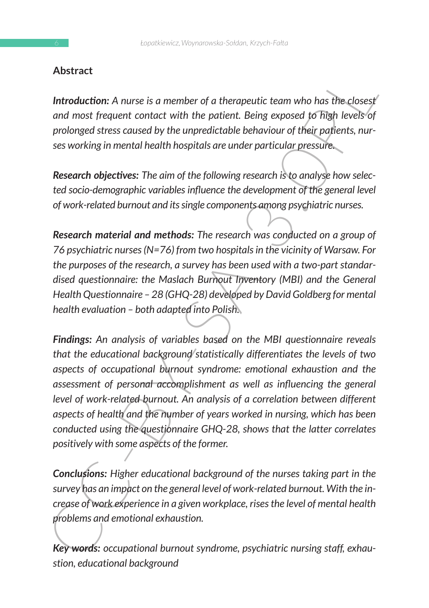## **Abstract**

**Introduction:** A nurse is a member of a therapeutic team who has the closest *and most frequent contact with the patient. Being exposed to high levels of prolonged stress caused by the unpredictable behaviour of their patients, nurses working in mental health hospitals are under particular pressure.*

*Research objectives: The aim of the following research is to analyse how selected socio-demographic variables influence the development of the general level of work-related burnout and its single components among psychiatric nurses.*

*Research material and methods: The research was conducted on a group of 76 psychiatric nurses (N=76) from two hospitals in the vicinity of Warsaw. For the purposes of the research, a survey has been used with a two-part standardised questionnaire: the Maslach Burnout Inventory (MBI) and the General Health Questionnaire – 28 (GHQ-28) developed by David Goldberg for mental health evaluation – both adapted into Polish.*

Abstract<br>
Introduction: A nurse is a member of a therapeutic team who has the closest<br>
and most frequent contact with the patient. Being exposed to fright levels of<br>
prolonged stress caused by the unpredictable behaviour o *Findings: An analysis of variables based on the MBI questionnaire reveals that the educational background statistically differentiates the levels of two aspects of occupational burnout syndrome: emotional exhaustion and the assessment of personal accomplishment as well as influencing the general level of work-related burnout. An analysis of a correlation between different aspects of health and the number of years worked in nursing, which has been conducted using the questionnaire GHQ-28, shows that the latter correlates positively with some aspects of the former.*

*Conclusions: Higher educational background of the nurses taking part in the survey has an impact on the general level of work-related burnout. With the increase of work experience in a given workplace, rises the level of mental health problems and emotional exhaustion.*

*Key words: occupational burnout syndrome, psychiatric nursing staff, exhaustion, educational background*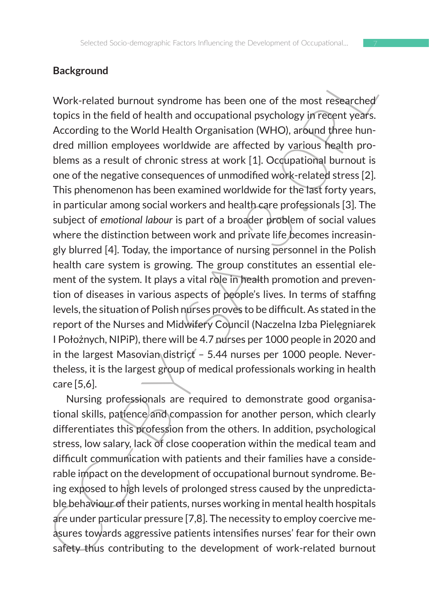## **Background**

**Background**<br>Work-related burnout syndrome has been one of the most researched<br>Vorice in the field of health and occupational psychology jire<br>eepit years.<br>According to the World Health Organisation (WHO), around three hun Work-related burnout syndrome has been one of the most researched topics in the field of health and occupational psychology in recent years. According to the World Health Organisation (WHO), around three hundred million employees worldwide are affected by various health problems as a result of chronic stress at work [1]. Occupational burnout is one of the negative consequences of unmodified work-related stress [2]. This phenomenon has been examined worldwide for the last forty years, in particular among social workers and health care professionals [3]. The subject of *emotional labour* is part of a broader problem of social values where the distinction between work and private life becomes increasingly blurred [4]. Today, the importance of nursing personnel in the Polish health care system is growing. The group constitutes an essential element of the system. It plays a vital role in health promotion and prevention of diseases in various aspects of people's lives. In terms of staffing levels, the situation of Polish nurses proves to be difficult. As stated in the report of the Nurses and Midwifery Council (Naczelna Izba Pielęgniarek I Położnych, NIPiP), there will be 4.7 nurses per 1000 people in 2020 and in the largest Masovian district - 5.44 nurses per 1000 people. Nevertheless, it is the largest group of medical professionals working in health care [5,6].

Nursing professionals are required to demonstrate good organisational skills, patience and compassion for another person, which clearly differentiates this profession from the others. In addition, psychological stress, low salary, lack of close cooperation within the medical team and difficult communication with patients and their families have a considerable impact on the development of occupational burnout syndrome. Being exposed to high levels of prolonged stress caused by the unpredictable behaviour of their patients, nurses working in mental health hospitals are under particular pressure [7,8]. The necessity to employ coercive measures towards aggressive patients intensifies nurses' fear for their own safety thus contributing to the development of work-related burnout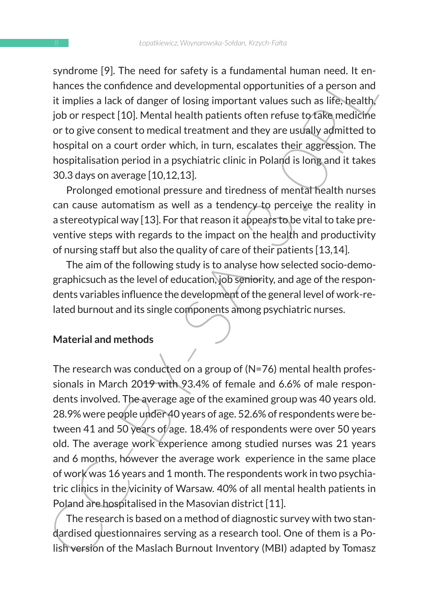syndrome [9]. The need for safety is a fundamental human need. It enhances the confidence and developmental opportunities of a person and it implies a lack of danger of losing important values such as life, health job or respect [10]. Mental health patients often refuse to take medicine or to give consent to medical treatment and they are usually admitted to hospital on a court order which, in turn, escalates their aggression. The hospitalisation period in a psychiatric clinic in Poland is long and it takes 30.3 days on average [10,12,13].

Prolonged emotional pressure and tiredness of mental health nurses can cause automatism as well as a tendency to perceive the reality in a stereotypical way [13]. For that reason it appears to be vital to take preventive steps with regards to the impact on the health and productivity of nursing staff but also the quality of care of their patients [13,14].

The aim of the following study is to analyse how selected socio-demographicsuch as the level of education, job seniority, and age of the respondents variables influence the development of the general level of work-related burnout and its single components among psychiatric nurses.

#### **Material and methods**

symptome (Fy). The heeld of sately a submathemal numathemal meat. The change the confidence and developmental apportunities of a person and<br>it implies a lack of danger of losing important values such as life-health/<br>or tr The research was conducted on a group of (N=76) mental health professionals in March 2019 with 93.4% of female and 6.6% of male respondents involved. The average age of the examined group was 40 years old. 28.9% were people under 40 years of age. 52.6% of respondents were between 41 and 50 years of age. 18.4% of respondents were over 50 years old. The average work experience among studied nurses was 21 years and 6 months, however the average work experience in the same place of work was 16 years and 1 month. The respondents work in two psychiatric clinics in the vicinity of Warsaw. 40% of all mental health patients in Poland are hospitalised in the Masovian district [11].

The research is based on a method of diagnostic survey with two standardised questionnaires serving as a research tool. One of them is a Polish version of the Maslach Burnout Inventory (MBI) adapted by Tomasz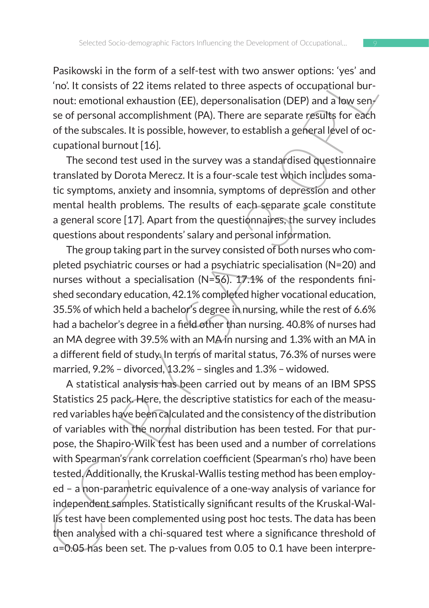Pasikowski in the form of a self-test with two answer options: 'yes' and 'no'. It consists of 22 items related to three aspects of occupational burnout: emotional exhaustion (EE), depersonalisation (DEP) and a low sense of personal accomplishment (PA). There are separate results for each of the subscales. It is possible, however, to establish a general level of occupational burnout [16].

The second test used in the survey was a standardised questionnaire translated by Dorota Merecz. It is a four-scale test which includes somatic symptoms, anxiety and insomnia, symptoms of depression and other mental health problems. The results of each separate scale constitute a general score [17]. Apart from the questionnaires, the survey includes questions about respondents' salary and personal information.

The group taking part in the survey consisted of both nurses who completed psychiatric courses or had a psychiatric specialisation (N=20) and nurses without a specialisation (N=56). 17.1% of the respondents finished secondary education, 42.1% completed higher vocational education, 35.5% of which held a bachelor's degree in nursing, while the rest of 6.6% had a bachelor's degree in a field other than nursing. 40.8% of nurses had an MA degree with 39.5% with an MA in nursing and 1.3% with an MA in a different field of study. In terms of marital status, 76.3% of nurses were married, 9.2% – divorced, 13.2% – singles and 1.3% – widowed.

Fashwows in the form of a settletest with two absent then the form of the mass of the constituted by the constitution (EE), depersonalization (DEP) and a low server of personal accomplishment (PA). There are espects of oc A statistical analysis has been carried out by means of an IBM SPSS Statistics 25 pack. Here, the descriptive statistics for each of the measured variables have been calculated and the consistency of the distribution of variables with the normal distribution has been tested. For that purpose, the Shapiro-Wilk test has been used and a number of correlations with Spearman's rank correlation coefficient (Spearman's rho) have been tested. Additionally, the Kruskal-Wallis testing method has been employed – a non-parametric equivalence of a one-way analysis of variance for independent samples. Statistically significant results of the Kruskal-Wallis test have been complemented using post hoc tests. The data has been then analysed with a chi-squared test where a significance threshold of α=0.05 has been set. The p-values from 0.05 to 0.1 have been interpre-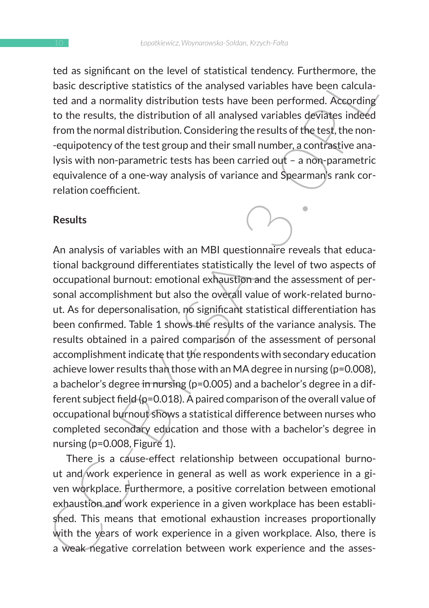ted as significant on the level of statistical tendency. Furthermore, the basic descriptive statistics of the analysed variables have been calculated and a normality distribution tests have been performed. According to the results, the distribution of all analysed variables deviates indeed from the normal distribution. Considering the results of the test, the non- -equipotency of the test group and their small number, a contrastive analysis with non-parametric tests has been carried out – a non-parametric equivalence of a one-way analysis of variance and Spearman's rank correlation coefficient.

#### **Results**

tea as squinted on the tever of statstical tenteric, rotronenties, the cast<br>of basic descriptive statistics of the analysed variables have been calcula-<br>ted and a normality distribution tests have been performed. According An analysis of variables with an MBI questionnaire reveals that educational background differentiates statistically the level of two aspects of occupational burnout: emotional exhaustion and the assessment of personal accomplishment but also the overall value of work-related burnout. As for depersonalisation, no significant statistical differentiation has been confirmed. Table 1 shows the results of the variance analysis. The results obtained in a paired comparison of the assessment of personal accomplishment indicate that the respondents with secondary education achieve lower results than those with an MA degree in nursing (p=0.008), a bachelor's degree in nursing (p=0.005) and a bachelor's degree in a different subject field ( $p=0.018$ ). A paired comparison of the overall value of occupational burnout shows a statistical difference between nurses who completed secondary education and those with a bachelor's degree in nursing (p=0.008, Figure 1).

There is a cause-effect relationship between occupational burnout and work experience in general as well as work experience in a given workplace. Furthermore, a positive correlation between emotional exhaustion and work experience in a given workplace has been established. This means that emotional exhaustion increases proportionally with the years of work experience in a given workplace. Also, there is a weak negative correlation between work experience and the asses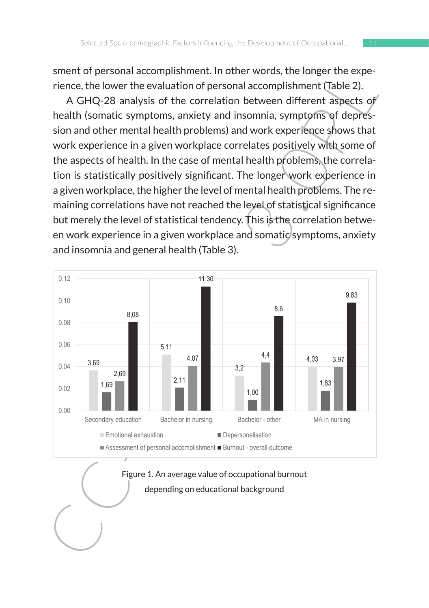sment of personal accomplishment. In other words, the longer the experience, the lower the evaluation of personal accomplishment (Table 2).

A GHQ-28 analysis of the correlation between different aspects of health (somatic symptoms, anxiety and insomnia, symptoms of depression and other mental health problems) and work experience shows that work experience in a given workplace correlates positively with some of the aspects of health. In the case of mental health problems, the correlation is statistically positively significant. The longer work experience in a given workplace, the higher the level of mental health problems. The remaining correlations have not reached the level of statistical significance but merely the level of statistical tendency. This is the correlation between work experience in a given workplace and somatic symptoms, anxiety and insomnia and general health (Table 3).  $\overline{\phantom{a}}$ s or the correlation between un  $S(1)$ 



## $\sqrt{2\pi}$  Figure 1. An average value of occupational burnout depending on educational background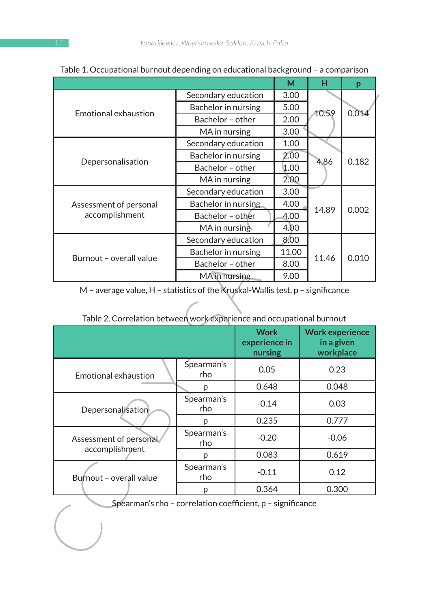| Secondary education<br>Bachelor in nursing<br>Bachelor - other<br>MA in nursing<br>Secondary education<br>Bachelor in nursing<br>Bachelor - other<br>MA in nursing<br>Secondary education<br>Bachelor in nursing<br>Bachelor - other | 3.00<br>5.00<br>2.00<br>3.00<br>1.00<br>2.00<br>1.00<br>2.00<br>3.00 | 10.59<br>4.86                        | 0.014<br>0.182 |  |
|--------------------------------------------------------------------------------------------------------------------------------------------------------------------------------------------------------------------------------------|----------------------------------------------------------------------|--------------------------------------|----------------|--|
|                                                                                                                                                                                                                                      |                                                                      |                                      |                |  |
|                                                                                                                                                                                                                                      |                                                                      |                                      |                |  |
|                                                                                                                                                                                                                                      |                                                                      |                                      |                |  |
|                                                                                                                                                                                                                                      |                                                                      |                                      |                |  |
|                                                                                                                                                                                                                                      |                                                                      |                                      |                |  |
|                                                                                                                                                                                                                                      |                                                                      |                                      |                |  |
|                                                                                                                                                                                                                                      |                                                                      |                                      |                |  |
|                                                                                                                                                                                                                                      |                                                                      |                                      |                |  |
|                                                                                                                                                                                                                                      |                                                                      |                                      | 0.002          |  |
|                                                                                                                                                                                                                                      | 4.00                                                                 | 14.89                                |                |  |
|                                                                                                                                                                                                                                      | 4.00                                                                 |                                      |                |  |
| MA in nursing                                                                                                                                                                                                                        | 4.00                                                                 |                                      |                |  |
| Secondary education                                                                                                                                                                                                                  | 8.00                                                                 |                                      |                |  |
| Bachelor in nursing<br>11.00                                                                                                                                                                                                         |                                                                      | 11.46                                | 0.010          |  |
| Bachelor - other                                                                                                                                                                                                                     | 8.00                                                                 |                                      |                |  |
| MA in nursing                                                                                                                                                                                                                        | 9.00                                                                 |                                      |                |  |
| <b>Work</b><br>experience in                                                                                                                                                                                                         |                                                                      | <b>Work experience</b><br>in a given |                |  |
| nursing                                                                                                                                                                                                                              |                                                                      | workplace                            |                |  |
| 0.05                                                                                                                                                                                                                                 |                                                                      | 0.23                                 |                |  |
| 0.648                                                                                                                                                                                                                                |                                                                      | 0.048                                |                |  |
| $-0.14$                                                                                                                                                                                                                              |                                                                      | 0.03                                 |                |  |
|                                                                                                                                                                                                                                      |                                                                      | 0.777                                |                |  |
| 0.235                                                                                                                                                                                                                                | $-0.20$                                                              |                                      | $-0.06$        |  |
|                                                                                                                                                                                                                                      |                                                                      |                                      |                |  |
| 0.083                                                                                                                                                                                                                                |                                                                      | 0.619                                |                |  |
| $-0.11$                                                                                                                                                                                                                              |                                                                      | 0.12                                 |                |  |
| 0.364                                                                                                                                                                                                                                |                                                                      | 0.300                                |                |  |
| Spearman's rho - correlation coefficient, p - significance                                                                                                                                                                           |                                                                      |                                      |                |  |
|                                                                                                                                                                                                                                      |                                                                      |                                      |                |  |

#### Table 1. Occupational burnout depending on educational background – a comparison

| Table 2. Correlation between work experience and occupational burnout |                   |                                         |                                                   |  |
|-----------------------------------------------------------------------|-------------------|-----------------------------------------|---------------------------------------------------|--|
|                                                                       |                   | <b>Work</b><br>experience in<br>nursing | <b>Work experience</b><br>in a given<br>workplace |  |
| Emotional exhaustion                                                  | Spearman's<br>rho | 0.05                                    | 0.23                                              |  |
|                                                                       | D                 | 0.648                                   | 0.048                                             |  |
| Depersonalisation                                                     | Spearman's<br>rho | $-0.14$                                 | 0.03                                              |  |
|                                                                       | р                 | 0.235                                   | 0.777                                             |  |
| Assessment of personal<br>accomplishment                              | Spearman's<br>rho | $-0.20$                                 | $-0.06$                                           |  |
|                                                                       | р                 | 0.083                                   | 0.619                                             |  |
| Burnout - overall value                                               | Spearman's<br>rho | $-0.11$                                 | 0.12                                              |  |
|                                                                       | р                 | 0.364                                   | 0.300                                             |  |

| Table 2. Correlation between work experience and occupational burnout |  |
|-----------------------------------------------------------------------|--|
|                                                                       |  |
|                                                                       |  |
|                                                                       |  |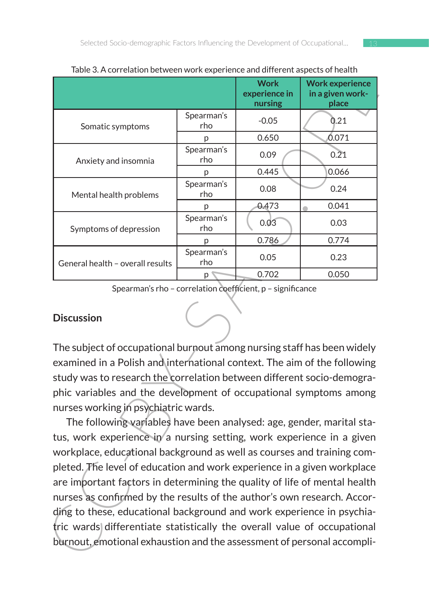| Table 5. A Currelation between work experience and unferent aspects of Health                                                                                            |                                                                       | <b>Work</b><br>experience in<br>nursing | <b>Work experience</b><br>in a given work-<br>place |  |  |  |  |
|--------------------------------------------------------------------------------------------------------------------------------------------------------------------------|-----------------------------------------------------------------------|-----------------------------------------|-----------------------------------------------------|--|--|--|--|
| Somatic symptoms                                                                                                                                                         | Spearman's<br>rho                                                     | $-0.05$                                 | 0.21                                                |  |  |  |  |
|                                                                                                                                                                          | p                                                                     | 0.650                                   | 0.071                                               |  |  |  |  |
| Anxiety and insomnia                                                                                                                                                     | Spearman's<br>rho                                                     | 0.09                                    | 0.21                                                |  |  |  |  |
|                                                                                                                                                                          | p                                                                     | 0.445                                   | 0.066                                               |  |  |  |  |
| Mental health problems                                                                                                                                                   | Spearman's<br>rho                                                     | 0.08                                    | 0.24                                                |  |  |  |  |
|                                                                                                                                                                          | p                                                                     | 0.473                                   | 0.041                                               |  |  |  |  |
| Symptoms of depression                                                                                                                                                   | Spearman's<br>rho                                                     | 0.03                                    | 0.03                                                |  |  |  |  |
|                                                                                                                                                                          | р                                                                     | 0.786                                   | 0.774                                               |  |  |  |  |
| General health - overall results                                                                                                                                         | Spearman's<br>rho                                                     | 0.05                                    | 0.23                                                |  |  |  |  |
|                                                                                                                                                                          | p                                                                     | 0.702                                   | 0.050                                               |  |  |  |  |
| <b>Discussion</b><br>The subject of occupational burnout among nursing staff has been widely<br>examined in a Polish and international context. The aim of the following |                                                                       |                                         |                                                     |  |  |  |  |
| study was to research the correlation between different socio-demogra-                                                                                                   |                                                                       |                                         |                                                     |  |  |  |  |
| phic variables and the development of occupational symptoms among                                                                                                        |                                                                       |                                         |                                                     |  |  |  |  |
| nurses working in psychiatric wards.                                                                                                                                     |                                                                       |                                         |                                                     |  |  |  |  |
| The following variables have been analysed: age, gender, marital sta-                                                                                                    |                                                                       |                                         |                                                     |  |  |  |  |
|                                                                                                                                                                          |                                                                       |                                         |                                                     |  |  |  |  |
|                                                                                                                                                                          | tus, work experience in a nursing setting, work experience in a given |                                         |                                                     |  |  |  |  |
| workplace, educational background as well as courses and training com-                                                                                                   |                                                                       |                                         |                                                     |  |  |  |  |
| pleted. The level of education and work experience in a given workplace                                                                                                  |                                                                       |                                         |                                                     |  |  |  |  |
| are important factors in determining the quality of life of mental health                                                                                                |                                                                       |                                         |                                                     |  |  |  |  |
| nurses as confirmed by the results of the author's own research. Accor-                                                                                                  |                                                                       |                                         |                                                     |  |  |  |  |
| ding to these, educational background and work experience in psychia-                                                                                                    |                                                                       |                                         |                                                     |  |  |  |  |
| tric wards differentiate statistically the overall value of occupational                                                                                                 |                                                                       |                                         |                                                     |  |  |  |  |
| burnout, emotional exhaustion and the assessment of personal accompli-                                                                                                   |                                                                       |                                         |                                                     |  |  |  |  |

Table 3. A correlation between work experience and different aspects of health

## **Discussion**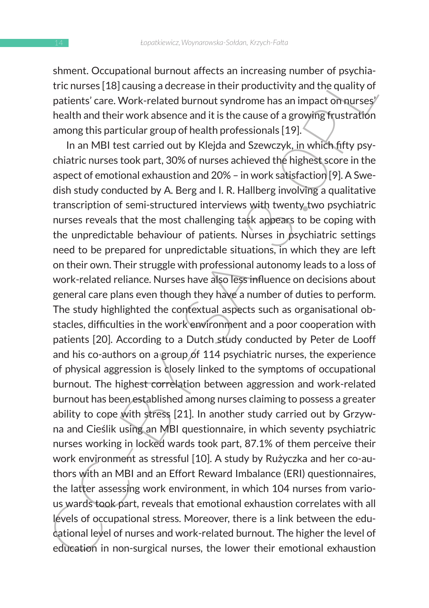shment. Occupational burnout affects an increasing number of psychiatric nurses [18] causing a decrease in their productivity and the quality of patients' care. Work-related burnout syndrome has an impact on nurses' health and their work absence and it is the cause of a growing frustration among this particular group of health professionals [19].

string. Occupation and numbar antests and interesting number or psychia-<br>strict.nurses [18] causing a decrease in their productivity and the quality of<br>patients' care. Work-related burnout syndrome has an impact of nurses<br> In an MBI test carried out by Klejda and Szewczyk, in which fifty psychiatric nurses took part, 30% of nurses achieved the highest score in the aspect of emotional exhaustion and 20% – in work satisfaction [9]. A Swedish study conducted by A. Berg and I. R. Hallberg involving a qualitative transcription of semi-structured interviews with twenty two psychiatric nurses reveals that the most challenging task appears to be coping with the unpredictable behaviour of patients. Nurses in psychiatric settings need to be prepared for unpredictable situations, in which they are left on their own. Their struggle with professional autonomy leads to a loss of work-related reliance. Nurses have also less influence on decisions about general care plans even though they have a number of duties to perform. The study highlighted the contextual aspects such as organisational obstacles, difficulties in the work environment and a poor cooperation with patients [20]. According to a Dutch study conducted by Peter de Looff and his co-authors on a group of 114 psychiatric nurses, the experience of physical aggression is closely linked to the symptoms of occupational burnout. The highest correlation between aggression and work-related burnout has been established among nurses claiming to possess a greater ability to cope with stress [21]. In another study carried out by Grzywna and Cieślik using an MBI questionnaire, in which seventy psychiatric nurses working in locked wards took part, 87.1% of them perceive their work environment as stressful [10]. A study by Rużyczka and her co-authors with an MBI and an Effort Reward Imbalance (ERI) questionnaires, the latter assessing work environment, in which 104 nurses from various wards took part, reveals that emotional exhaustion correlates with all levels of occupational stress. Moreover, there is a link between the educational level of nurses and work-related burnout. The higher the level of education in non-surgical nurses, the lower their emotional exhaustion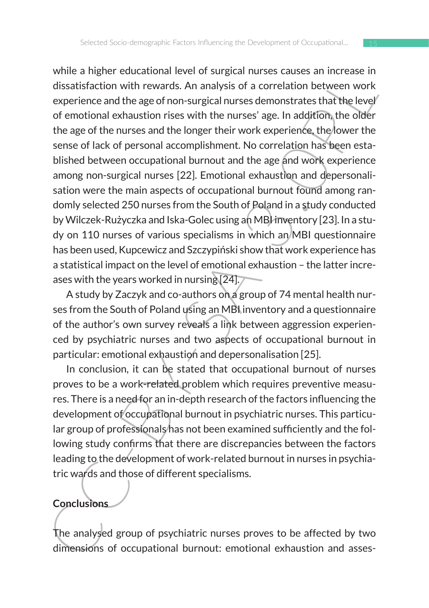wine a injerie reductional never of solution there is solution the distantial must aligned reduction between work<br>distantial must be a correlation between work<br>experience and the age of non-surgical nurses demonstrates tha while a higher educational level of surgical nurses causes an increase in dissatisfaction with rewards. An analysis of a correlation between work experience and the age of non-surgical nurses demonstrates that the level of emotional exhaustion rises with the nurses' age. In addition, the older the age of the nurses and the longer their work experience, the lower the sense of lack of personal accomplishment. No correlation has been established between occupational burnout and the age and work experience among non-surgical nurses [22]. Emotional exhaustion and depersonalisation were the main aspects of occupational burnout found among randomly selected 250 nurses from the South of Poland in a study conducted by Wilczek-Rużyczka and Iska-Golec using an MBI inventory [23]. In a study on 110 nurses of various specialisms in which an MBI questionnaire has been used, Kupcewicz and Szczypiński show that work experience has a statistical impact on the level of emotional exhaustion – the latter increases with the years worked in nursing [24].

A study by Zaczyk and co-authors on a group of 74 mental health nurses from the South of Poland using an MBI inventory and a questionnaire of the author's own survey reveals a link between aggression experienced by psychiatric nurses and two aspects of occupational burnout in particular: emotional exhaustion and depersonalisation [25].

In conclusion, it can be stated that occupational burnout of nurses proves to be a work-related problem which requires preventive measures. There is a need for an in-depth research of the factors influencing the development of occupational burnout in psychiatric nurses. This particular group of professionals has not been examined sufficiently and the following study confirms that there are discrepancies between the factors leading to the development of work-related burnout in nurses in psychiatric wards and those of different specialisms.

# **Conclusions**

The analysed group of psychiatric nurses proves to be affected by two dimensions of occupational burnout: emotional exhaustion and asses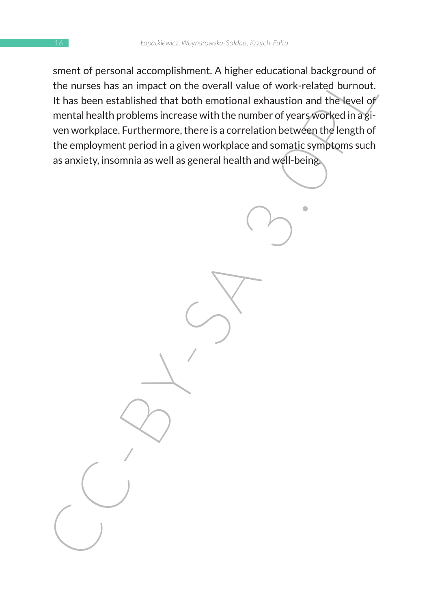sherical accomputational accomputed to the number of the number of the number of the number of the number of the number of the number of the search of the search of the search of the search of the search of the search of t sment of personal accomplishment. A higher educational background of the nurses has an impact on the overall value of work-related burnout. It has been established that both emotional exhaustion and the level of mental health problems increase with the number of years worked in a given workplace. Furthermore, there is a correlation between the length of the employment period in a given workplace and somatic symptoms such as anxiety, insomnia as well as general health and well-being.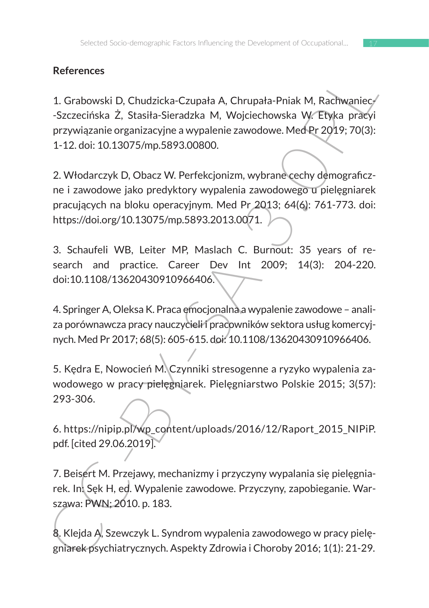# **References**

1. Grabowski D, Chudzicka-Czupała A, Chrupała-Pniak M, Rachwaniec- -Szczecińska Ż, Stasiła-Sieradzka M, Wojciechowska W. Etyka pracyi przywiązanie organizacyjne a wypalenie zawodowe. Med Pr 2019; 70(3): 1-12. doi: 10.13075/mp.5893.00800.

References<br>
1. Grabowski D, Chudzicka-Czupała A, Chrupała-Pniak M, Rachwaniecy<br>
-Szczecińska 2, Stasiła-Sieradzka M, Wojciechowska W, Etyka pracyj<br>
przywiązanie organizacyjne a wypalenie zawodowe. Med $Pf 2019$ ; 70(3):<br>
1-1 2. Włodarczyk D, Obacz W. Perfekcjonizm, wybrane cechy demograficzne i zawodowe jako predyktory wypalenia zawodowego u pielęgniarek pracujących na bloku operacyjnym. Med Pr 2013; 64(6): 761-773. doi: https://doi.org/10.13075/mp.5893.2013.0071.

3. Schaufeli WB, Leiter MP, Maslach C. Burnout: 35 years of research and practice. Career Dev Int 2009; 14(3): 204-220. doi:10.1108/13620430910966406.

4. Springer A, Oleksa K. Praca emocjonalna a wypalenie zawodowe – analiza porównawcza pracy nauczycieli i pracowników sektora usług komercyjnych. Med Pr 2017; 68(5): 605-615. doi: 10.1108/13620430910966406.

5. Kędra E, Nowocień M. Czynniki stresogenne a ryzyko wypalenia zawodowego w pracy pielęgniarek. Pielęgniarstwo Polskie 2015; 3(57): 293-306.

6. https://nipip.pl/wp\_content/uploads/2016/12/Raport\_2015\_NIPiP. pdf. [cited 29.06.2019].

7. Beisert M. Przejawy, mechanizmy i przyczyny wypalania się pielęgniarek. In: Sęk H, ed. Wypalenie zawodowe. Przyczyny, zapobieganie. Warszawa: PWN; 2010. p. 183.

8. Klejda A, Szewczyk L. Syndrom wypalenia zawodowego w pracy pielęgniarek psychiatrycznych. Aspekty Zdrowia i Choroby 2016; 1(1): 21-29.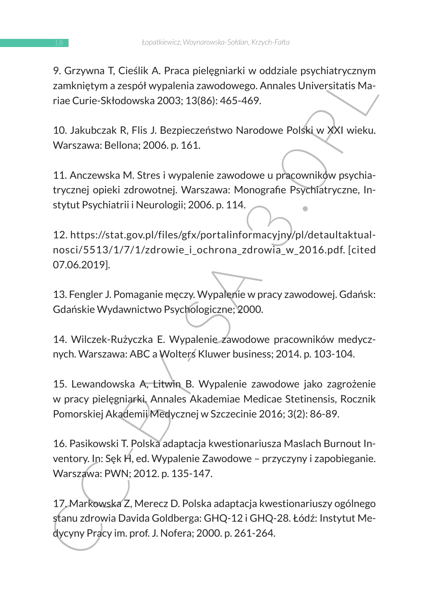9. Grzywna T, Cieślik A. Praca pielęgniarki w oddziale psychiatrycznym zamkniętym a zespół wypalenia zawodowego. Annales Universitatis Mariae Curie-Skłodowska 2003; 13(86): 465-469.

10. Jakubczak R, Flis J. Bezpieczeństwo Narodowe Polski w XXI wieku. Warszawa: Bellona; 2006. p. 161.

11. Anczewska M. Stres i wypalenie zawodowe u pracowników psychiatrycznej opieki zdrowotnej. Warszawa: Monografie Psychiatryczne, Instytut Psychiatrii i Neurologii; 2006. p. 114.

7. urzywia I., Clesink A. Prata Jelegginarki w oduziałe psychani yzunyini<br>zamkniętym a zespół wypalenia zawodowego. Annales Universitatis Ma-<br>raie Curie-Skłodowska 2003; 13(86): 465-469.<br>10. Jakubczak R, Flis J. Bezpieczeń 12. https://stat.gov.pl/files/gfx/portalinformacyjny/pl/detaultaktualnosci/5513/1/7/1/zdrowie i ochrona zdrowia w 2016.pdf. [cited 07.06.2019].

13. Fengler J. Pomaganie męczy. Wypalenie w pracy zawodowej. Gdańsk: Gdańskie Wydawnictwo Psychologiczne; 2000.

14. Wilczek-Rużyczka E. Wypalenie zawodowe pracowników medycznych. Warszawa: ABC a Wolters Kluwer business; 2014. p. 103-104.

15. Lewandowska A, Litwin B. Wypalenie zawodowe jako zagrożenie w pracy pielęgniarki. Annales Akademiae Medicae Stetinensis, Rocznik Pomorskiej Akademii Medycznej w Szczecinie 2016; 3(2): 86-89.

16. Pasikowski T. Polska adaptacja kwestionariusza Maslach Burnout Inventory. In: Sęk H, ed. Wypalenie Zawodowe – przyczyny i zapobieganie. Warszawa: PWN; 2012. p. 135-147.

17. Markowska Z, Merecz D. Polska adaptacja kwestionariuszy ogólnego stanu zdrowia Davida Goldberga: GHQ-12 i GHQ-28. Łódź: Instytut Medycyny Pracy im. prof. J. Nofera; 2000. p. 261-264.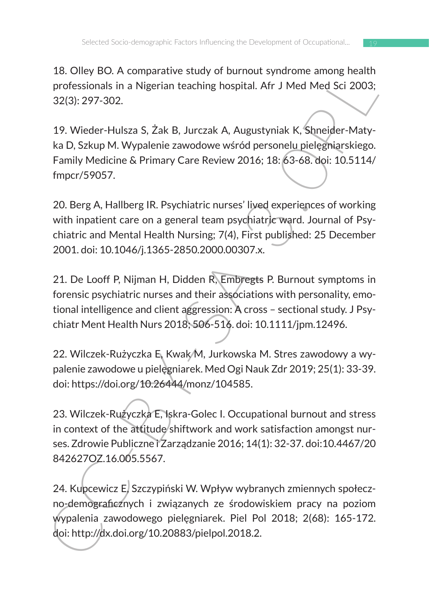18. Olley BO. A comparative study of burnout syndrome among health professionals in a Nigerian teaching hospital. Afr J Med Med Sci 2003; 32(3): 297-302.

19. Wieder-Hulsza S, Żak B, Jurczak A, Augustyniak K, Shneider-Matyka D, Szkup M. Wypalenie zawodowe wśród personelu pielęgniarskiego. Family Medicine & Primary Care Review 2016; 18: 63-68. doi: 10.5114/ fmpcr/59057.

20. Berg A, Hallberg IR. Psychiatric nurses' lived experiences of working with inpatient care on a general team psychiatric ward. Journal of Psychiatric and Mental Health Nursing; 7(4), First published: 25 December 2001. doi: 10.1046/j.1365-2850.2000.00307.x.

1. Oluey Bot. A comparative study of unrind measurem almost measurem and preference and Nigerian teaching hospital. Afr J Med Med Sci 2003;<br>32(3): 297-302.<br>19. Wieder-Hulsza S, Żak B, Jurczak A, Augustyniak K, Shneider-Ma 21. De Looff P, Nijman H, Didden R, Embregts P. Burnout symptoms in forensic psychiatric nurses and their associations with personality, emotional intelligence and client aggression: A cross – sectional study. J Psychiatr Ment Health Nurs 2018; 506-516. doi: 10.1111/jpm.12496.

22. Wilczek-Rużyczka E, Kwak M, Jurkowska M. Stres zawodowy a wypalenie zawodowe u pielęgniarek. Med Ogi Nauk Zdr 2019; 25(1): 33-39. doi: https://doi.org/10.26444/monz/104585.

23. Wilczek-Rużyczka E, Iskra-Golec I. Occupational burnout and stress in context of the attitude shiftwork and work satisfaction amongst nurses. Zdrowie Publiczne i Zarządzanie 2016; 14(1): 32-37. doi:10.4467/20 842627OZ.16.005.5567.

24. Kupcewicz E, Szczypiński W. Wpływ wybranych zmiennych społeczno-demograficznych i związanych ze środowiskiem pracy na poziom wypalenia zawodowego pielęgniarek. Piel Pol 2018; 2(68): 165-172. doi: http://dx.doi.org/10.20883/pielpol.2018.2.